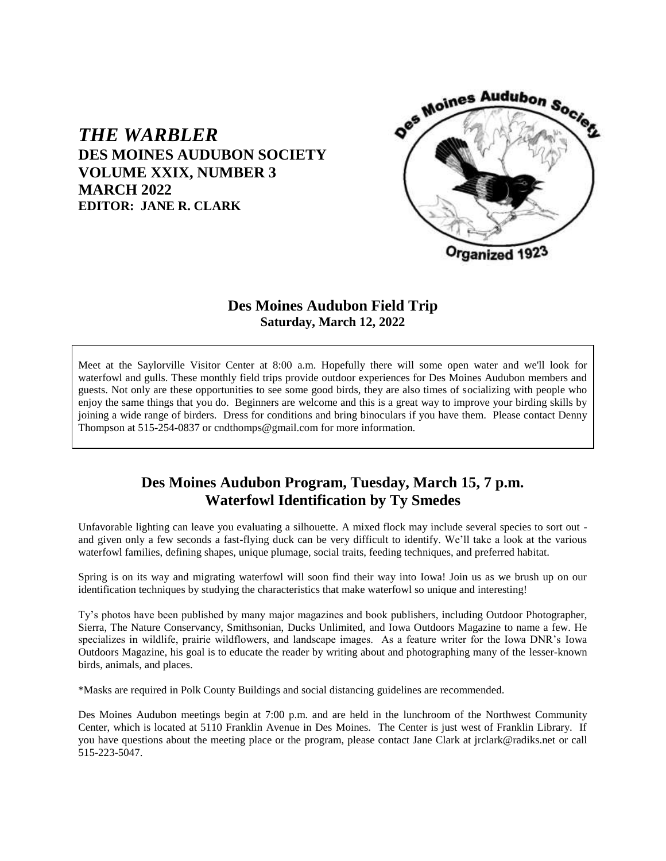

# **DES MOINES AUDUBON SOCIETY VOLUME XXIX, NUMBER 3 MARCH 2022 EDITOR: JANE R. CLARK**

*THE WARBLER*

### **Des Moines Audubon Field Trip Saturday, March 12, 2022**

Meet at the Saylorville Visitor Center at 8:00 a.m. Hopefully there will some open water and we'll look for waterfowl and gulls. These monthly field trips provide outdoor experiences for Des Moines Audubon members and guests. Not only are these opportunities to see some good birds, they are also times of socializing with people who enjoy the same things that you do. Beginners are welcome and this is a great way to improve your birding skills by joining a wide range of birders. Dress for conditions and bring binoculars if you have them. Please contact Denny Thompson at 515-254-0837 or cndthomps@gmail.com for more information.

## **Des Moines Audubon Program, Tuesday, March 15, 7 p.m. Waterfowl Identification by Ty Smedes**

Unfavorable lighting can leave you evaluating a silhouette. A mixed flock may include several species to sort out and given only a few seconds a fast-flying duck can be very difficult to identify. We'll take a look at the various waterfowl families, defining shapes, unique plumage, social traits, feeding techniques, and preferred habitat.

Spring is on its way and migrating waterfowl will soon find their way into Iowa! Join us as we brush up on our identification techniques by studying the characteristics that make waterfowl so unique and interesting!

Ty's photos have been published by many major magazines and book publishers, including Outdoor Photographer, Sierra, The Nature Conservancy, Smithsonian, Ducks Unlimited, and Iowa Outdoors Magazine to name a few. He specializes in wildlife, prairie wildflowers, and landscape images. As a feature writer for the Iowa DNR's Iowa Outdoors Magazine, his goal is to educate the reader by writing about and photographing many of the lesser-known birds, animals, and places.

\*Masks are required in Polk County Buildings and social distancing guidelines are recommended.

Des Moines Audubon meetings begin at 7:00 p.m. and are held in the lunchroom of the Northwest Community Center, which is located at 5110 Franklin Avenue in Des Moines. The Center is just west of Franklin Library. If you have questions about the meeting place or the program, please contact Jane Clark at jrclark@radiks.net or call 515-223-5047.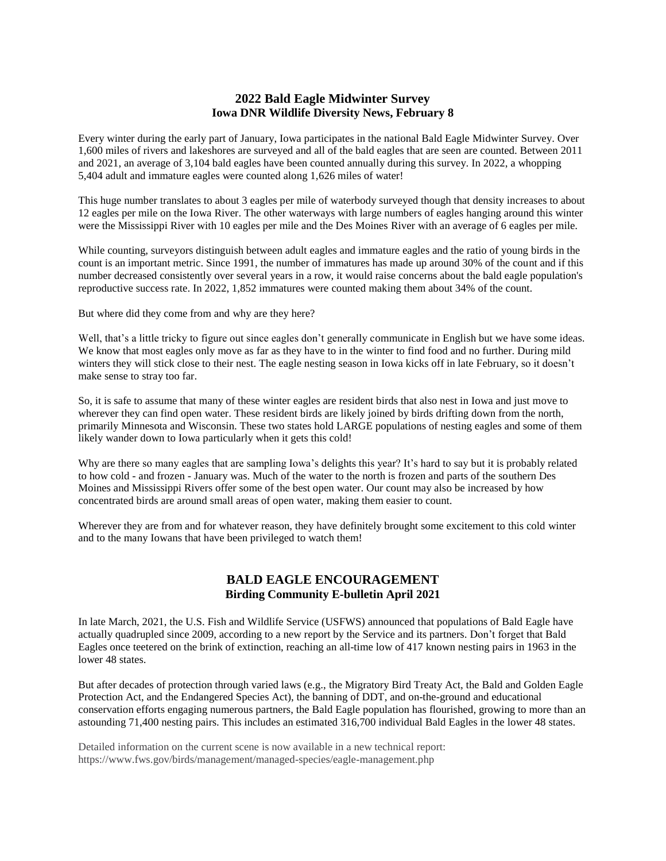### **2022 Bald Eagle Midwinter Survey Iowa DNR Wildlife Diversity News, February 8**

Every winter during the early part of January, Iowa participates in the national Bald Eagle Midwinter Survey. Over 1,600 miles of rivers and lakeshores are surveyed and all of the bald eagles that are seen are counted. Between 2011 and 2021, an average of 3,104 bald eagles have been counted annually during this survey. In 2022, a whopping 5,404 adult and immature eagles were counted along 1,626 miles of water!

This huge number translates to about 3 eagles per mile of waterbody surveyed though that density increases to about 12 eagles per mile on the Iowa River. The other waterways with large numbers of eagles hanging around this winter were the Mississippi River with 10 eagles per mile and the Des Moines River with an average of 6 eagles per mile.

While counting, surveyors distinguish between adult eagles and immature eagles and the ratio of young birds in the count is an important metric. Since 1991, the number of immatures has made up around 30% of the count and if this number decreased consistently over several years in a row, it would raise concerns about the bald eagle population's reproductive success rate. In 2022, 1,852 immatures were counted making them about 34% of the count.

But where did they come from and why are they here?

Well, that's a little tricky to figure out since eagles don't generally communicate in English but we have some ideas. We know that most eagles only move as far as they have to in the winter to find food and no further. During mild winters they will stick close to their nest. The eagle nesting season in Iowa kicks off in late February, so it doesn't make sense to stray too far.

So, it is safe to assume that many of these winter eagles are resident birds that also nest in Iowa and just move to wherever they can find open water. These resident birds are likely joined by birds drifting down from the north, primarily Minnesota and Wisconsin. These two states hold LARGE populations of nesting eagles and some of them likely wander down to Iowa particularly when it gets this cold!

Why are there so many eagles that are sampling Iowa's delights this year? It's hard to say but it is probably related to how cold - and frozen - January was. Much of the water to the north is frozen and parts of the southern Des Moines and Mississippi Rivers offer some of the best open water. Our count may also be increased by how concentrated birds are around small areas of open water, making them easier to count.

Wherever they are from and for whatever reason, they have definitely brought some excitement to this cold winter and to the many Iowans that have been privileged to watch them!

### **BALD EAGLE ENCOURAGEMENT Birding Community E-bulletin April 2021**

In late March, 2021, the U.S. Fish and Wildlife Service (USFWS) announced that populations of Bald Eagle have actually quadrupled since 2009, according to a new report by the Service and its partners. Don't forget that Bald Eagles once teetered on the brink of extinction, reaching an all-time low of 417 known nesting pairs in 1963 in the lower 48 states.

But after decades of protection through varied laws (e.g., the Migratory Bird Treaty Act, the Bald and Golden Eagle Protection Act, and the Endangered Species Act), the banning of DDT, and on-the-ground and educational conservation efforts engaging numerous partners, the Bald Eagle population has flourished, growing to more than an astounding 71,400 nesting pairs. This includes an estimated 316,700 individual Bald Eagles in the lower 48 states.

Detailed information on the current scene is now available in a new technical report: https://www.fws.gov/birds/management/managed-species/eagle-management.php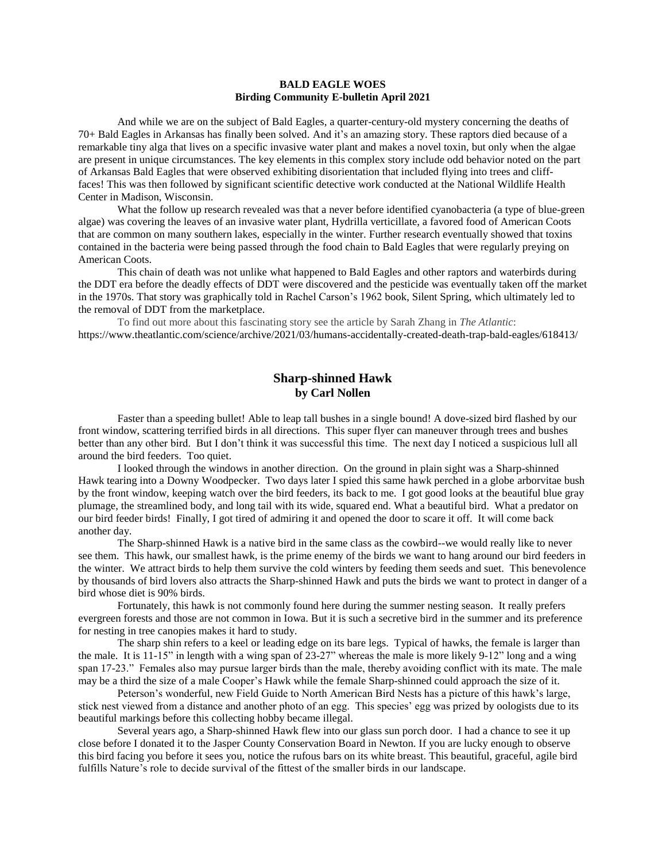#### **BALD EAGLE WOES Birding Community E-bulletin April 2021**

And while we are on the subject of Bald Eagles, a quarter-century-old mystery concerning the deaths of 70+ Bald Eagles in Arkansas has finally been solved. And it's an amazing story. These raptors died because of a remarkable tiny alga that lives on a specific invasive water plant and makes a novel toxin, but only when the algae are present in unique circumstances. The key elements in this complex story include odd behavior noted on the part of Arkansas Bald Eagles that were observed exhibiting disorientation that included flying into trees and clifffaces! This was then followed by significant scientific detective work conducted at the National Wildlife Health Center in Madison, Wisconsin.

What the follow up research revealed was that a never before identified cyanobacteria (a type of blue-green algae) was covering the leaves of an invasive water plant, Hydrilla verticillate, a favored food of American Coots that are common on many southern lakes, especially in the winter. Further research eventually showed that toxins contained in the bacteria were being passed through the food chain to Bald Eagles that were regularly preying on American Coots.

This chain of death was not unlike what happened to Bald Eagles and other raptors and waterbirds during the DDT era before the deadly effects of DDT were discovered and the pesticide was eventually taken off the market in the 1970s. That story was graphically told in Rachel Carson's 1962 book, Silent Spring, which ultimately led to the removal of DDT from the marketplace.

To find out more about this fascinating story see the article by Sarah Zhang in *The Atlantic*: <https://www.theatlantic.com/science/archive/2021/03/humans-accidentally-created-death-trap-bald-eagles/618413/>

#### **Sharp-shinned Hawk by Carl Nollen**

Faster than a speeding bullet! Able to leap tall bushes in a single bound! A dove-sized bird flashed by our front window, scattering terrified birds in all directions. This super flyer can maneuver through trees and bushes better than any other bird. But I don't think it was successful this time. The next day I noticed a suspicious lull all around the bird feeders. Too quiet.

I looked through the windows in another direction. On the ground in plain sight was a Sharp-shinned Hawk tearing into a Downy Woodpecker. Two days later I spied this same hawk perched in a globe arborvitae bush by the front window, keeping watch over the bird feeders, its back to me. I got good looks at the beautiful blue gray plumage, the streamlined body, and long tail with its wide, squared end. What a beautiful bird. What a predator on our bird feeder birds! Finally, I got tired of admiring it and opened the door to scare it off. It will come back another day.

The Sharp-shinned Hawk is a native bird in the same class as the cowbird--we would really like to never see them. This hawk, our smallest hawk, is the prime enemy of the birds we want to hang around our bird feeders in the winter. We attract birds to help them survive the cold winters by feeding them seeds and suet. This benevolence by thousands of bird lovers also attracts the Sharp-shinned Hawk and puts the birds we want to protect in danger of a bird whose diet is 90% birds.

Fortunately, this hawk is not commonly found here during the summer nesting season. It really prefers evergreen forests and those are not common in Iowa. But it is such a secretive bird in the summer and its preference for nesting in tree canopies makes it hard to study.

The sharp shin refers to a keel or leading edge on its bare legs. Typical of hawks, the female is larger than the male. It is 11-15" in length with a wing span of 23-27" whereas the male is more likely 9-12" long and a wing span 17-23." Females also may pursue larger birds than the male, thereby avoiding conflict with its mate. The male may be a third the size of a male Cooper's Hawk while the female Sharp-shinned could approach the size of it.

Peterson's wonderful, new Field Guide to North American Bird Nests has a picture of this hawk's large, stick nest viewed from a distance and another photo of an egg. This species' egg was prized by oologists due to its beautiful markings before this collecting hobby became illegal.

Several years ago, a Sharp-shinned Hawk flew into our glass sun porch door. I had a chance to see it up close before I donated it to the Jasper County Conservation Board in Newton. If you are lucky enough to observe this bird facing you before it sees you, notice the rufous bars on its white breast. This beautiful, graceful, agile bird fulfills Nature's role to decide survival of the fittest of the smaller birds in our landscape.